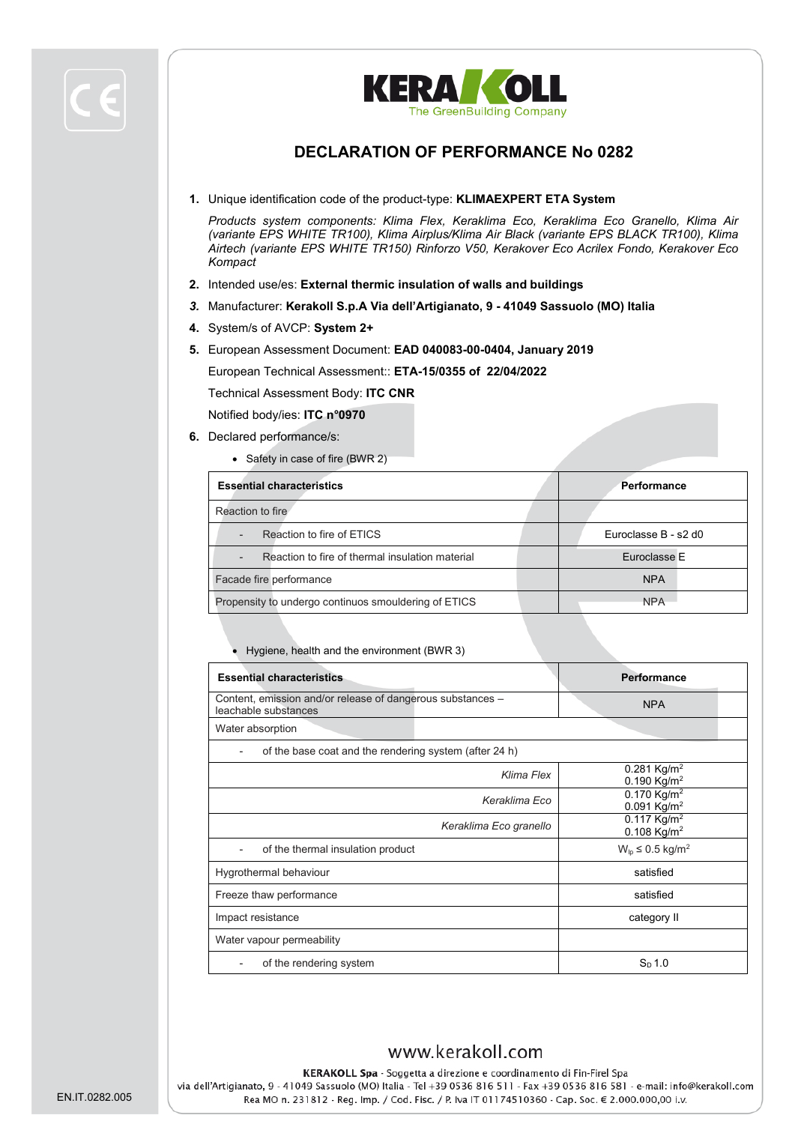

#### **DECLARATION OF PERFORMANCE No 0282**

**1.** Unique identification code of the product-type: **KLIMAEXPERT ETA System**

*Products system components: Klima Flex, Keraklima Eco, Keraklima Eco Granello, Klima Air (variante EPS WHITE TR100), Klima Airplus/Klima Air Black (variante EPS BLACK TR100), Klima Airtech (variante EPS WHITE TR150) Rinforzo V50, Kerakover Eco Acrilex Fondo, Kerakover Eco Kompact*

- **2.** Intended use/es: **External thermic insulation of walls and buildings**
- *3.* Manufacturer: **Kerakoll S.p.A Via dell'Artigianato, 9 - 41049 Sassuolo (MO) Italia**
- **4.** System/s of AVCP: **System 2+**
- **5.** European Assessment Document: **EAD 040083-00-0404, January 2019**

European Technical Assessment:: **ETA-15/0355 of 22/04/2022**

Technical Assessment Body: **ITC CNR**

Notified body/ies: **ITC n°0970**

- **6.** Declared performance/s:
	- Safety in case of fire (BWR 2)

| <b>Essential characteristics</b>                                            | Performance          |
|-----------------------------------------------------------------------------|----------------------|
| Reaction to fire                                                            |                      |
| Reaction to fire of ETICS<br>$\overline{\phantom{a}}$                       | Euroclasse B - s2 d0 |
| Reaction to fire of thermal insulation material<br>$\overline{\phantom{a}}$ | Euroclasse E         |
| Facade fire performance                                                     | <b>NPA</b>           |
| Propensity to undergo continuos smouldering of ETICS                        | <b>NPA</b>           |

• Hygiene, health and the environment (BWR 3)

| <b>Essential characteristics</b>                                                   | Performance                                            |  |  |  |
|------------------------------------------------------------------------------------|--------------------------------------------------------|--|--|--|
| Content, emission and/or release of dangerous substances -<br>leachable substances | <b>NPA</b>                                             |  |  |  |
| Water absorption                                                                   |                                                        |  |  |  |
| of the base coat and the rendering system (after 24 h)                             |                                                        |  |  |  |
| Klima Flex                                                                         | 0.281 Kg/m <sup>2</sup><br>0.190 Kg/m <sup>2</sup>     |  |  |  |
| Keraklima Eco                                                                      | $0.170$ Kg/m <sup>2</sup><br>$0.091$ Kg/m <sup>2</sup> |  |  |  |
| Keraklima Eco granello                                                             | $0.117$ Kg/m <sup>2</sup><br>0.108 Kg/m <sup>2</sup>   |  |  |  |
| of the thermal insulation product                                                  | $W_{lp} \leq 0.5$ kg/m <sup>2</sup>                    |  |  |  |
| Hygrothermal behaviour                                                             | satisfied                                              |  |  |  |
| Freeze thaw performance                                                            | satisfied                                              |  |  |  |
| Impact resistance                                                                  | category II                                            |  |  |  |
| Water vapour permeability                                                          |                                                        |  |  |  |
| of the rendering system                                                            | $S_{\text{D}}$ 1.0                                     |  |  |  |

#### www.kerakoll.com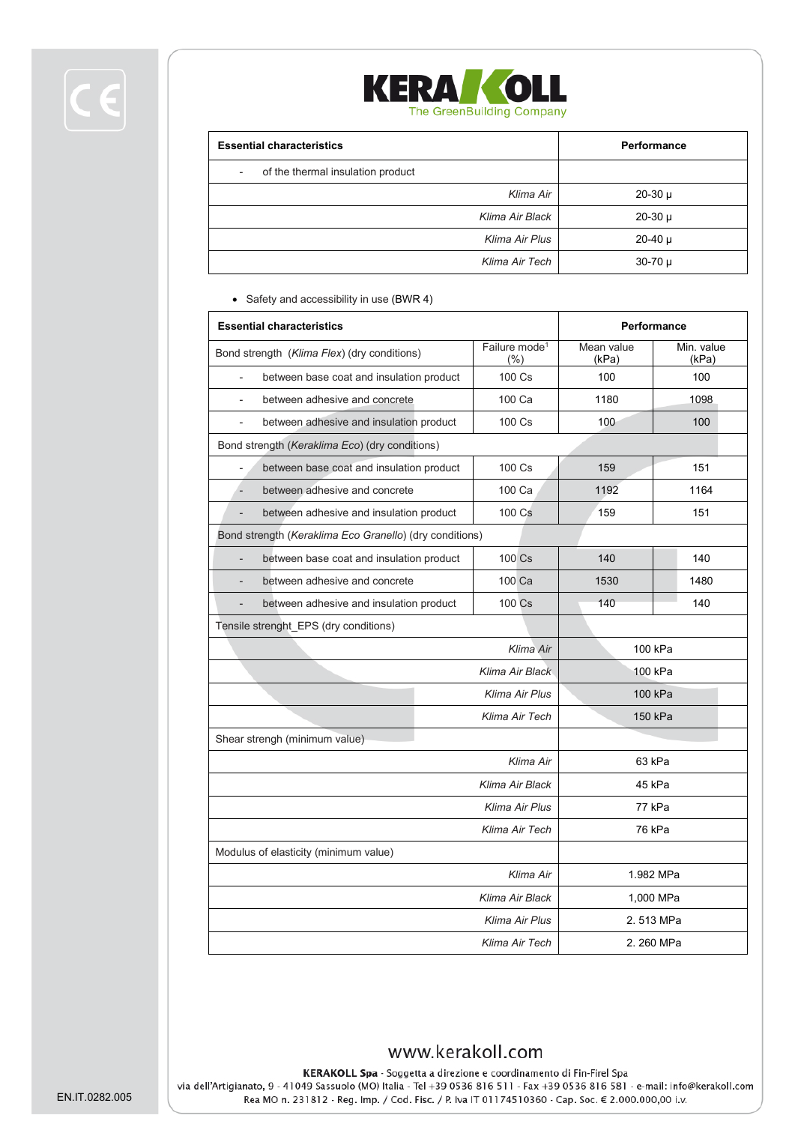

| <b>Essential characteristics</b>  | Performance |
|-----------------------------------|-------------|
| of the thermal insulation product |             |
| Klima Air                         | $20-30 \mu$ |
| Klima Air Black                   | $20-30 \mu$ |
| Klima Air Plus                    | $20-40 \mu$ |
| Klima Air Tech                    | $30-70 \mu$ |

• Safety and accessibility in use (BWR 4)

| <b>Essential characteristics</b>                                    |                                   | Performance         |                     |  |
|---------------------------------------------------------------------|-----------------------------------|---------------------|---------------------|--|
| Bond strength (Klima Flex) (dry conditions)                         | Failure mode <sup>1</sup><br>(% ) | Mean value<br>(kPa) | Min. value<br>(kPa) |  |
| between base coat and insulation product                            | 100 Cs                            | 100                 | 100                 |  |
| between adhesive and concrete                                       | 100 Ca                            | 1180                | 1098                |  |
| between adhesive and insulation product<br>$\overline{\phantom{0}}$ | 100 Cs                            | 100                 | 100                 |  |
| Bond strength (Keraklima Eco) (dry conditions)                      |                                   |                     |                     |  |
| between base coat and insulation product                            | $100 \text{ Cs}$                  | 159                 | 151                 |  |
| between adhesive and concrete<br>$\overline{a}$                     | 100 Ca                            | 1192                | 1164                |  |
| between adhesive and insulation product                             | 100 Cs                            | 159                 | 151                 |  |
| Bond strength (Keraklima Eco Granello) (dry conditions)             |                                   |                     |                     |  |
| between base coat and insulation product<br>$\overline{a}$          | 100 Cs                            | 140                 | 140                 |  |
| between adhesive and concrete                                       | 100 Ca                            | 1530                | 1480                |  |
| between adhesive and insulation product                             | 100 Cs                            | 140                 | 140                 |  |
| Tensile strenght_EPS (dry conditions)                               |                                   |                     |                     |  |
|                                                                     | Klima Air                         | 100 kPa             |                     |  |
|                                                                     | Klima Air Black                   | 100 kPa             |                     |  |
|                                                                     | Klima Air Plus                    | 100 kPa             |                     |  |
|                                                                     | Klima Air Tech                    | 150 kPa             |                     |  |
| Shear strengh (minimum value)                                       |                                   |                     |                     |  |
| Klima Air                                                           |                                   | 63 kPa              |                     |  |
|                                                                     | Klima Air Black                   | 45 kPa              |                     |  |
| Klima Air Plus                                                      |                                   | 77 kPa              |                     |  |
| Klima Air Tech                                                      |                                   | 76 kPa              |                     |  |
| Modulus of elasticity (minimum value)                               |                                   |                     |                     |  |
| Klima Air                                                           |                                   | 1.982 MPa           |                     |  |
| Klima Air Black                                                     |                                   | 1,000 MPa           |                     |  |
| Klima Air Plus                                                      |                                   | 2.513 MPa           |                     |  |
| Klima Air Tech                                                      |                                   | 2.260 MPa           |                     |  |

## www.kerakoll.com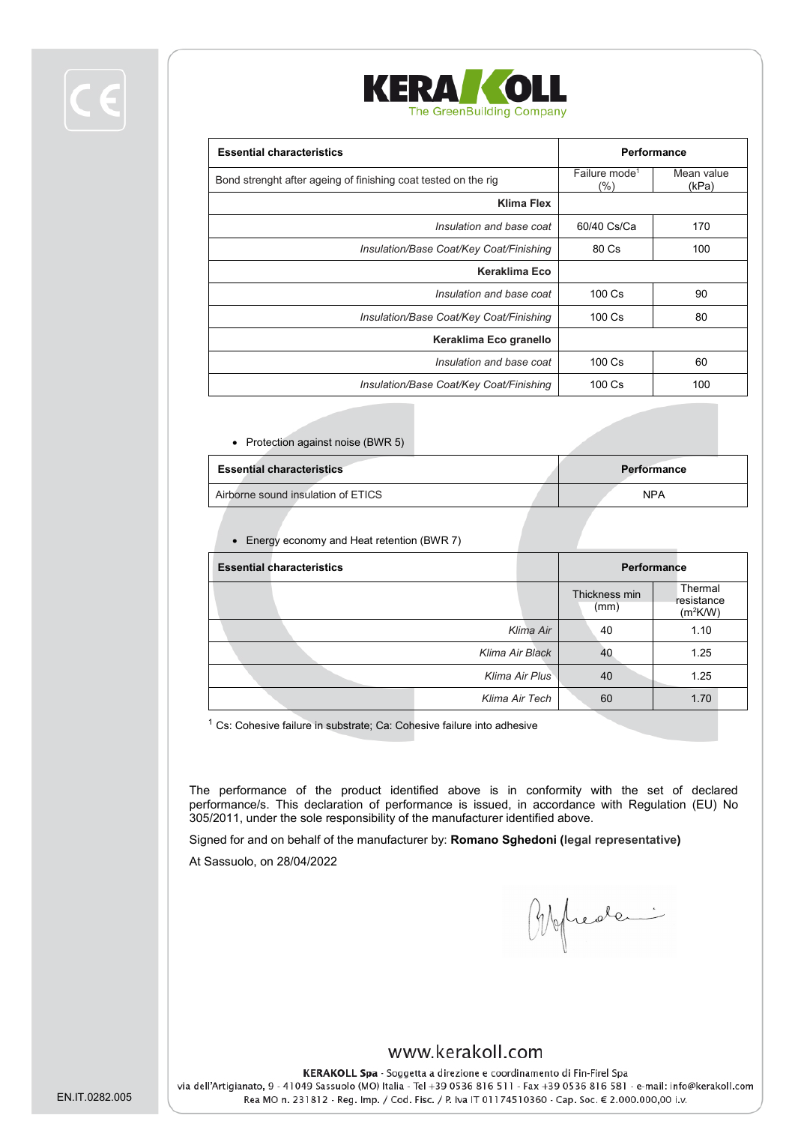



| <b>Essential characteristics</b>                               | Performance                         |                     |
|----------------------------------------------------------------|-------------------------------------|---------------------|
| Bond strenght after ageing of finishing coat tested on the rig | Failure mode <sup>1</sup><br>$(\%)$ | Mean value<br>(kPa) |
| Klima Flex                                                     |                                     |                     |
| Insulation and base coat                                       | 60/40 Cs/Ca                         | 170                 |
| Insulation/Base Coat/Key Coat/Finishing                        | 80 Cs                               | 100                 |
| Keraklima Eco                                                  |                                     |                     |
| Insulation and base coat                                       | 100 Cs                              | 90                  |
| Insulation/Base Coat/Key Coat/Finishing                        | $100 \text{ Cs}$<br>80              |                     |
| Keraklima Eco granello                                         |                                     |                     |
| Insulation and base coat                                       | 100 Cs                              | 60                  |
| Insulation/Base Coat/Key Coat/Finishing                        | $100 \text{ Cs}$<br>100             |                     |
|                                                                |                                     |                     |

• Protection against noise (BWR 5)

| <b>Essential characteristics</b>   | Performance |            |  |
|------------------------------------|-------------|------------|--|
| Airborne sound insulation of ETICS |             | <b>NPA</b> |  |

• Energy economy and Heat retention (BWR 7)

| <b>Essential characteristics</b> |                |                       | Performance                         |
|----------------------------------|----------------|-----------------------|-------------------------------------|
|                                  |                | Thickness min<br>(mm) | Thermal<br>resistance<br>$(m^2K/W)$ |
|                                  | Klima Air      | 40                    | 1.10                                |
| Klima Air Black                  |                | 40                    | 1.25                                |
|                                  | Klima Air Plus | 40                    | 1.25                                |
|                                  | Klima Air Tech | 60                    | 1.70                                |

 $1$  Cs: Cohesive failure in substrate; Ca: Cohesive failure into adhesive

The performance of the product identified above is in conformity with the set of declared performance/s. This declaration of performance is issued, in accordance with Regulation (EU) No 305/2011, under the sole responsibility of the manufacturer identified above.

Signed for and on behalf of the manufacturer by: **Romano Sghedoni (legal representative)**

At Sassuolo, on 28/04/2022

Bigliede.

#### www.kerakoll.com